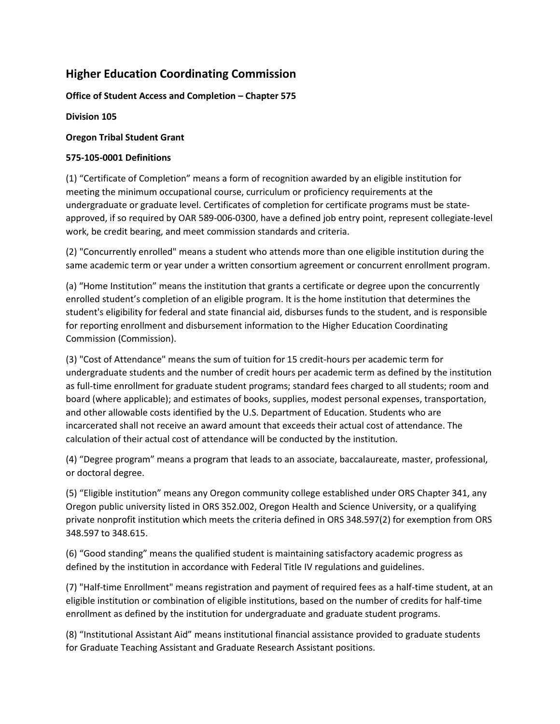# **Higher Education Coordinating Commission**

## **Office of Student Access and Completion – Chapter 575**

**Division 105**

#### **Oregon Tribal Student Grant**

## **575-105-0001 Definitions**

(1) "Certificate of Completion" means a form of recognition awarded by an eligible institution for meeting the minimum occupational course, curriculum or proficiency requirements at the undergraduate or graduate level. Certificates of completion for certificate programs must be stateapproved, if so required by OAR 589-006-0300, have a defined job entry point, represent collegiate-level work, be credit bearing, and meet commission standards and criteria.

(2) "Concurrently enrolled" means a student who attends more than one eligible institution during the same academic term or year under a written consortium agreement or concurrent enrollment program.

(a) "Home Institution" means the institution that grants a certificate or degree upon the concurrently enrolled student's completion of an eligible program. It is the home institution that determines the student's eligibility for federal and state financial aid, disburses funds to the student, and is responsible for reporting enrollment and disbursement information to the Higher Education Coordinating Commission (Commission).

(3) "Cost of Attendance" means the sum of tuition for 15 credit-hours per academic term for undergraduate students and the number of credit hours per academic term as defined by the institution as full-time enrollment for graduate student programs; standard fees charged to all students; room and board (where applicable); and estimates of books, supplies, modest personal expenses, transportation, and other allowable costs identified by the U.S. Department of Education. Students who are incarcerated shall not receive an award amount that exceeds their actual cost of attendance. The calculation of their actual cost of attendance will be conducted by the institution.

(4) "Degree program" means a program that leads to an associate, baccalaureate, master, professional, or doctoral degree.

(5) "Eligible institution" means any Oregon community college established under ORS Chapter 341, any Oregon public university listed in ORS 352.002, Oregon Health and Science University, or a qualifying private nonprofit institution which meets the criteria defined in ORS 348.597(2) for exemption from ORS 348.597 to 348.615.

(6) "Good standing" means the qualified student is maintaining satisfactory academic progress as defined by the institution in accordance with Federal Title IV regulations and guidelines.

(7) "Half-time Enrollment" means registration and payment of required fees as a half-time student, at an eligible institution or combination of eligible institutions, based on the number of credits for half-time enrollment as defined by the institution for undergraduate and graduate student programs.

(8) "Institutional Assistant Aid" means institutional financial assistance provided to graduate students for Graduate Teaching Assistant and Graduate Research Assistant positions.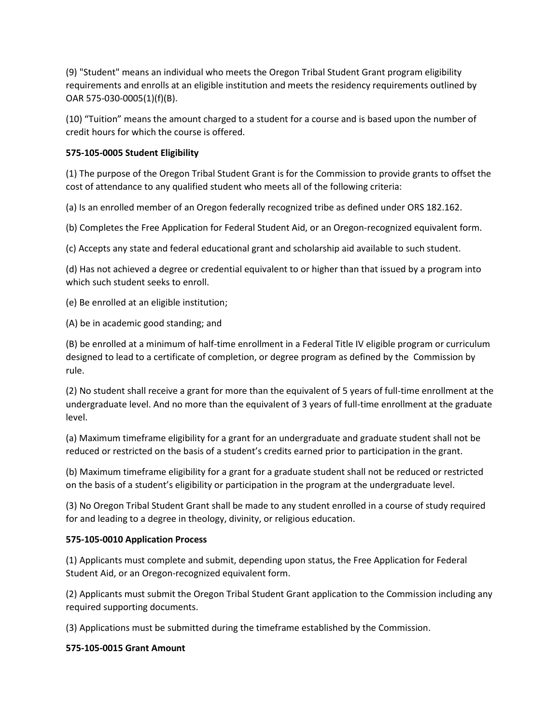(9) "Student" means an individual who meets the Oregon Tribal Student Grant program eligibility requirements and enrolls at an eligible institution and meets the residency requirements outlined by OAR 575-030-0005(1)(f)(B).

(10) "Tuition" means the amount charged to a student for a course and is based upon the number of credit hours for which the course is offered.

## **575-105-0005 Student Eligibility**

(1) The purpose of the Oregon Tribal Student Grant is for the Commission to provide grants to offset the cost of attendance to any qualified student who meets all of the following criteria:

(a) Is an enrolled member of an Oregon federally recognized tribe as defined under ORS 182.162.

(b) Completes the Free Application for Federal Student Aid, or an Oregon-recognized equivalent form.

(c) Accepts any state and federal educational grant and scholarship aid available to such student.

(d) Has not achieved a degree or credential equivalent to or higher than that issued by a program into which such student seeks to enroll.

(e) Be enrolled at an eligible institution;

(A) be in academic good standing; and

(B) be enrolled at a minimum of half-time enrollment in a Federal Title IV eligible program or curriculum designed to lead to a certificate of completion, or degree program as defined by the Commission by rule.

(2) No student shall receive a grant for more than the equivalent of 5 years of full-time enrollment at the undergraduate level. And no more than the equivalent of 3 years of full-time enrollment at the graduate level.

(a) Maximum timeframe eligibility for a grant for an undergraduate and graduate student shall not be reduced or restricted on the basis of a student's credits earned prior to participation in the grant.

(b) Maximum timeframe eligibility for a grant for a graduate student shall not be reduced or restricted on the basis of a student's eligibility or participation in the program at the undergraduate level.

(3) No Oregon Tribal Student Grant shall be made to any student enrolled in a course of study required for and leading to a degree in theology, divinity, or religious education.

#### **575-105-0010 Application Process**

(1) Applicants must complete and submit, depending upon status, the Free Application for Federal Student Aid, or an Oregon-recognized equivalent form.

(2) Applicants must submit the Oregon Tribal Student Grant application to the Commission including any required supporting documents.

(3) Applications must be submitted during the timeframe established by the Commission.

#### **575-105-0015 Grant Amount**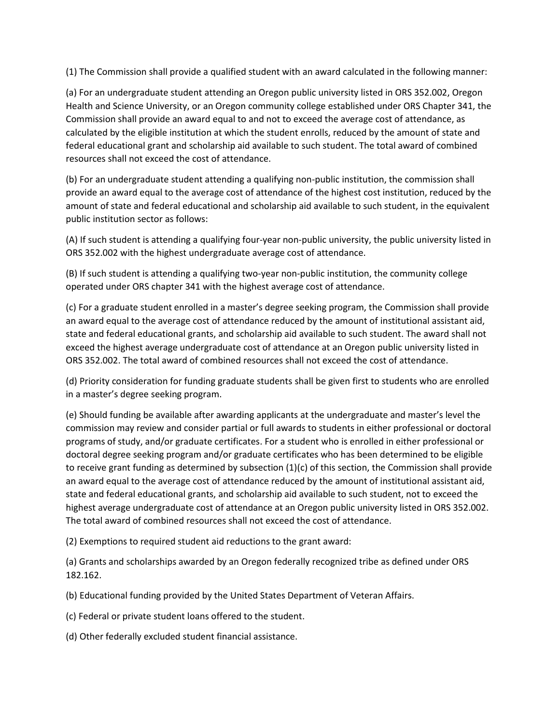(1) The Commission shall provide a qualified student with an award calculated in the following manner:

(a) For an undergraduate student attending an Oregon public university listed in ORS 352.002, Oregon Health and Science University, or an Oregon community college established under ORS Chapter 341, the Commission shall provide an award equal to and not to exceed the average cost of attendance, as calculated by the eligible institution at which the student enrolls, reduced by the amount of state and federal educational grant and scholarship aid available to such student. The total award of combined resources shall not exceed the cost of attendance.

(b) For an undergraduate student attending a qualifying non-public institution, the commission shall provide an award equal to the average cost of attendance of the highest cost institution, reduced by the amount of state and federal educational and scholarship aid available to such student, in the equivalent public institution sector as follows:

(A) If such student is attending a qualifying four-year non-public university, the public university listed in ORS 352.002 with the highest undergraduate average cost of attendance.

(B) If such student is attending a qualifying two-year non-public institution, the community college operated under ORS chapter 341 with the highest average cost of attendance.

(c) For a graduate student enrolled in a master's degree seeking program, the Commission shall provide an award equal to the average cost of attendance reduced by the amount of institutional assistant aid, state and federal educational grants, and scholarship aid available to such student. The award shall not exceed the highest average undergraduate cost of attendance at an Oregon public university listed in ORS 352.002. The total award of combined resources shall not exceed the cost of attendance.

(d) Priority consideration for funding graduate students shall be given first to students who are enrolled in a master's degree seeking program.

(e) Should funding be available after awarding applicants at the undergraduate and master's level the commission may review and consider partial or full awards to students in either professional or doctoral programs of study, and/or graduate certificates. For a student who is enrolled in either professional or doctoral degree seeking program and/or graduate certificates who has been determined to be eligible to receive grant funding as determined by subsection (1)(c) of this section, the Commission shall provide an award equal to the average cost of attendance reduced by the amount of institutional assistant aid, state and federal educational grants, and scholarship aid available to such student, not to exceed the highest average undergraduate cost of attendance at an Oregon public university listed in ORS 352.002. The total award of combined resources shall not exceed the cost of attendance.

(2) Exemptions to required student aid reductions to the grant award:

(a) Grants and scholarships awarded by an Oregon federally recognized tribe as defined under ORS 182.162.

(b) Educational funding provided by the United States Department of Veteran Affairs.

(c) Federal or private student loans offered to the student.

(d) Other federally excluded student financial assistance.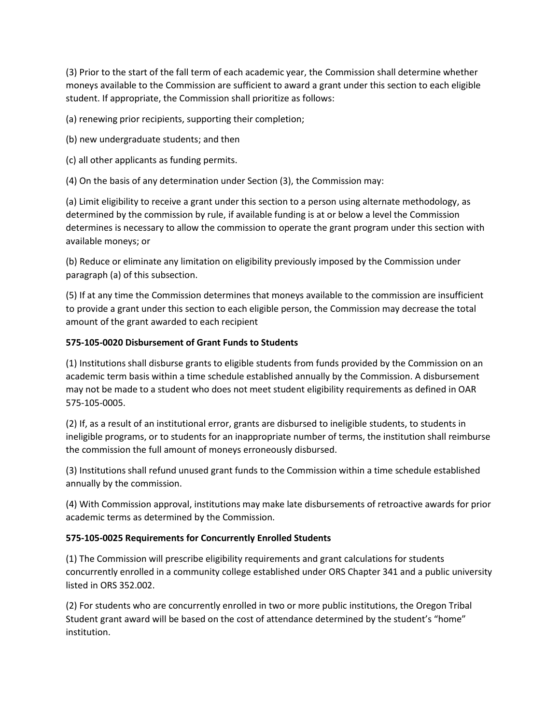(3) Prior to the start of the fall term of each academic year, the Commission shall determine whether moneys available to the Commission are sufficient to award a grant under this section to each eligible student. If appropriate, the Commission shall prioritize as follows:

(a) renewing prior recipients, supporting their completion;

- (b) new undergraduate students; and then
- (c) all other applicants as funding permits.

(4) On the basis of any determination under Section (3), the Commission may:

(a) Limit eligibility to receive a grant under this section to a person using alternate methodology, as determined by the commission by rule, if available funding is at or below a level the Commission determines is necessary to allow the commission to operate the grant program under this section with available moneys; or

(b) Reduce or eliminate any limitation on eligibility previously imposed by the Commission under paragraph (a) of this subsection.

(5) If at any time the Commission determines that moneys available to the commission are insufficient to provide a grant under this section to each eligible person, the Commission may decrease the total amount of the grant awarded to each recipient

## **575-105-0020 Disbursement of Grant Funds to Students**

(1) Institutions shall disburse grants to eligible students from funds provided by the Commission on an academic term basis within a time schedule established annually by the Commission. A disbursement may not be made to a student who does not meet student eligibility requirements as defined in OAR 575-105-0005.

(2) If, as a result of an institutional error, grants are disbursed to ineligible students, to students in ineligible programs, or to students for an inappropriate number of terms, the institution shall reimburse the commission the full amount of moneys erroneously disbursed.

(3) Institutions shall refund unused grant funds to the Commission within a time schedule established annually by the commission.

(4) With Commission approval, institutions may make late disbursements of retroactive awards for prior academic terms as determined by the Commission.

## **575-105-0025 Requirements for Concurrently Enrolled Students**

(1) The Commission will prescribe eligibility requirements and grant calculations for students concurrently enrolled in a community college established under ORS Chapter 341 and a public university listed in ORS 352.002.

(2) For students who are concurrently enrolled in two or more public institutions, the Oregon Tribal Student grant award will be based on the cost of attendance determined by the student's "home" institution.